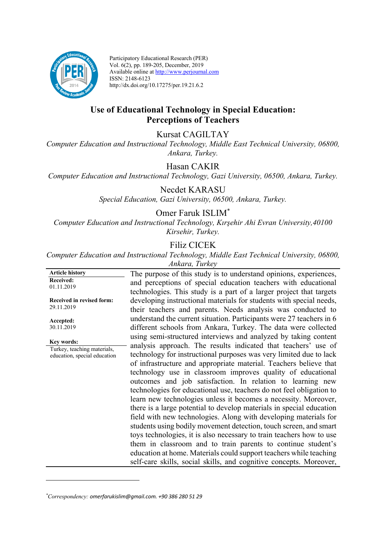

Participatory Educational Research (PER) Vol. 6(2), pp. 189-205, December, 2019 Available online at http://www.perjournal.com ISSN: 2148-6123 http://dx.doi.org/10.17275/per.19.21.6.2

## **Use of Educational Technology in Special Education: Perceptions of Teachers**

Kursat CAGILTAY

*Computer Education and Instructional Technology, Middle East Technical University, 06800, Ankara, Turkey.*

Hasan CAKIR

*Computer Education and Instructional Technology, Gazi University, 06500, Ankara, Turkey.*

Necdet KARASU *Special Education, Gazi University, 06500, Ankara, Turkey.*

## Omer Faruk ISLIM\*

*Computer Education and Instructional Technology, Kırşehir Ahi Evran University,40100 Kirsehir, Turkey.*

# Filiz CICEK

*Computer Education and Instructional Technology, Middle East Technical University, 06800, Ankara, Turkey*

**Article history Received:**  01.11.2019 **Received in revised form:**  29.11.2019 **Accepted:** 30.11.2019 The purpose of this study is to understand opinions, experiences, and perceptions of special education teachers with educational technologies. This study is a part of a larger project that targets developing instructional materials for students with special needs, their teachers and parents. Needs analysis was conducted to understand the current situation. Participants were 27 teachers in 6 different schools from Ankara, Turkey. The data were collected using semi-structured interviews and analyzed by taking content analysis approach. The results indicated that teachers' use of technology for instructional purposes was very limited due to lack of infrastructure and appropriate material. Teachers believe that technology use in classroom improves quality of educational outcomes and job satisfaction. In relation to learning new technologies for educational use, teachers do not feel obligation to learn new technologies unless it becomes a necessity. Moreover, there is a large potential to develop materials in special education field with new technologies. Along with developing materials for students using bodily movement detection, touch screen, and smart toys technologies, it is also necessary to train teachers how to use them in classroom and to train parents to continue student's education at home. Materials could support teachers while teaching self-care skills, social skills, and cognitive concepts. Moreover, **Key words:** Turkey, teaching materials, education, special education

*<sup>\*</sup> Correspondency: omerfarukislim@gmail.com. +90 386 280 51 29*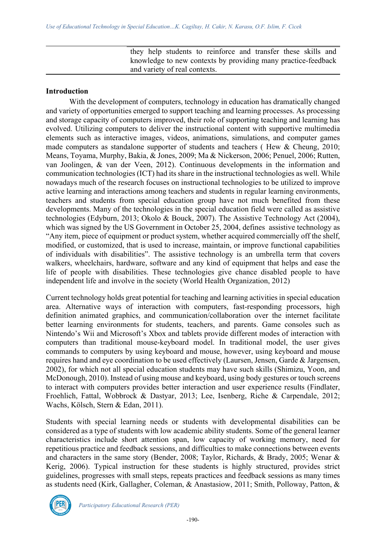they help students to reinforce and transfer these skills and knowledge to new contexts by providing many practice-feedback and variety of real contexts.

#### **Introduction**

With the development of computers, technology in education has dramatically changed and variety of opportunities emerged to support teaching and learning processes. As processing and storage capacity of computers improved, their role of supporting teaching and learning has evolved. Utilizing computers to deliver the instructional content with supportive multimedia elements such as interactive images, videos, animations, simulations, and computer games made computers as standalone supporter of students and teachers ( Hew & Cheung, 2010; Means, Toyama, Murphy, Bakia, & Jones, 2009; Ma & Nickerson, 2006; Penuel, 2006; Rutten, van Joolingen, & van der Veen, 2012). Continuous developments in the information and communication technologies (ICT) had its share in the instructional technologies as well. While nowadays much of the research focuses on instructional technologies to be utilized to improve active learning and interactions among teachers and students in regular learning environments, teachers and students from special education group have not much benefited from these developments. Many of the technologies in the special education field were called as assistive technologies (Edyburn, 2013; Okolo & Bouck, 2007). The Assistive Technology Act (2004), which was signed by the US Government in October 25, 2004, defines assistive technology as "Any item, piece of equipment or product system, whether acquired commercially off the shelf, modified, or customized, that is used to increase, maintain, or improve functional capabilities of individuals with disabilities". The assistive technology is an umbrella term that covers walkers, wheelchairs, hardware, software and any kind of equipment that helps and ease the life of people with disabilities. These technologies give chance disabled people to have independent life and involve in the society (World Health Organization, 2012)

Current technology holds great potential for teaching and learning activities in special education area. Alternative ways of interaction with computers, fast-responding processors, high definition animated graphics, and communication/collaboration over the internet facilitate better learning environments for students, teachers, and parents. Game consoles such as Nintendo's Wii and Microsoft's Xbox and tablets provide different modes of interaction with computers than traditional mouse-keyboard model. In traditional model, the user gives commands to computers by using keyboard and mouse, however, using keyboard and mouse requires hand and eye coordination to be used effectively (Laursen, Jensen, Garde & Jargensen, 2002), for which not all special education students may have such skills (Shimizu, Yoon, and McDonough, 2010). Instead of using mouse and keyboard, using body gestures or touch screens to interact with computers provides better interaction and user experience results (Findlater, Froehlich, Fattal, Wobbrock & Dastyar, 2013; Lee, Isenberg, Riche & Carpendale, 2012; Wachs, Kölsch, Stern & Edan, 2011).

Students with special learning needs or students with developmental disabilities can be considered as a type of students with low academic ability students. Some of the general learner characteristics include short attention span, low capacity of working memory, need for repetitious practice and feedback sessions, and difficulties to make connections between events and characters in the same story (Bender, 2008; Taylor, Richards, & Brady, 2005; Wenar & Kerig, 2006). Typical instruction for these students is highly structured, provides strict guidelines, progresses with small steps, repeats practices and feedback sessions as many times as students need (Kirk, Gallagher, Coleman, & Anastasiow, 2011; Smith, Polloway, Patton, &

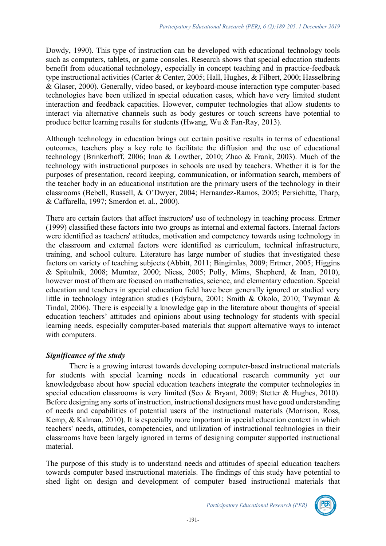Dowdy, 1990). This type of instruction can be developed with educational technology tools such as computers, tablets, or game consoles. Research shows that special education students benefit from educational technology, especially in concept teaching and in practice-feedback type instructional activities (Carter & Center, 2005; Hall, Hughes, & Filbert, 2000; Hasselbring & Glaser, 2000). Generally, video based, or keyboard-mouse interaction type computer-based technologies have been utilized in special education cases, which have very limited student interaction and feedback capacities. However, computer technologies that allow students to interact via alternative channels such as body gestures or touch screens have potential to produce better learning results for students (Hwang, Wu & Fan-Ray, 2013).

Although technology in education brings out certain positive results in terms of educational outcomes, teachers play a key role to facilitate the diffusion and the use of educational technology (Brinkerhoff, 2006; Inan & Lowther, 2010; Zhao & Frank, 2003). Much of the technology with instructional purposes in schools are used by teachers. Whether it is for the purposes of presentation, record keeping, communication, or information search, members of the teacher body in an educational institution are the primary users of the technology in their classrooms (Bebell, Russell, & O'Dwyer, 2004; Hernandez-Ramos, 2005; Persichitte, Tharp, & Caffarella, 1997; Smerdon et. al., 2000).

There are certain factors that affect instructors' use of technology in teaching process. Ertmer (1999) classified these factors into two groups as internal and external factors. Internal factors were identified as teachers' attitudes, motivation and competency towards using technology in the classroom and external factors were identified as curriculum, technical infrastructure, training, and school culture. Literature has large number of studies that investigated these factors on variety of teaching subjects (Abbitt, 2011; Bingimlas, 2009; Ertmer, 2005; Higgins & Spitulnik, 2008; Mumtaz, 2000; Niess, 2005; Polly, Mims, Shepherd, & Inan, 2010), however most of them are focused on mathematics, science, and elementary education. Special education and teachers in special education field have been generally ignored or studied very little in technology integration studies (Edyburn, 2001; Smith & Okolo, 2010; Twyman & Tindal, 2006). There is especially a knowledge gap in the literature about thoughts of special education teachers' attitudes and opinions about using technology for students with special learning needs, especially computer-based materials that support alternative ways to interact with computers.

### *Significance of the study*

There is a growing interest towards developing computer-based instructional materials for students with special learning needs in educational research community yet our knowledgebase about how special education teachers integrate the computer technologies in special education classrooms is very limited (Seo & Bryant, 2009; Stetter & Hughes, 2010). Before designing any sorts of instruction, instructional designers must have good understanding of needs and capabilities of potential users of the instructional materials (Morrison, Ross, Kemp, & Kalman, 2010). It is especially more important in special education context in which teachers' needs, attitudes, competencies, and utilization of instructional technologies in their classrooms have been largely ignored in terms of designing computer supported instructional material.

The purpose of this study is to understand needs and attitudes of special education teachers towards computer based instructional materials. The findings of this study have potential to shed light on design and development of computer based instructional materials that

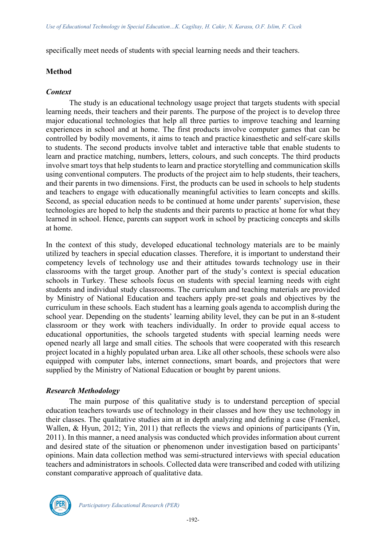specifically meet needs of students with special learning needs and their teachers.

#### **Method**

#### *Context*

The study is an educational technology usage project that targets students with special learning needs, their teachers and their parents. The purpose of the project is to develop three major educational technologies that help all three parties to improve teaching and learning experiences in school and at home. The first products involve computer games that can be controlled by bodily movements, it aims to teach and practice kinaesthetic and self-care skills to students. The second products involve tablet and interactive table that enable students to learn and practice matching, numbers, letters, colours, and such concepts. The third products involve smart toys that help students to learn and practice storytelling and communication skills using conventional computers. The products of the project aim to help students, their teachers, and their parents in two dimensions. First, the products can be used in schools to help students and teachers to engage with educationally meaningful activities to learn concepts and skills. Second, as special education needs to be continued at home under parents' supervision, these technologies are hoped to help the students and their parents to practice at home for what they learned in school. Hence, parents can support work in school by practicing concepts and skills at home.

In the context of this study, developed educational technology materials are to be mainly utilized by teachers in special education classes. Therefore, it is important to understand their competency levels of technology use and their attitudes towards technology use in their classrooms with the target group. Another part of the study's context is special education schools in Turkey. These schools focus on students with special learning needs with eight students and individual study classrooms. The curriculum and teaching materials are provided by Ministry of National Education and teachers apply pre-set goals and objectives by the curriculum in these schools. Each student has a learning goals agenda to accomplish during the school year. Depending on the students' learning ability level, they can be put in an 8-student classroom or they work with teachers individually. In order to provide equal access to educational opportunities, the schools targeted students with special learning needs were opened nearly all large and small cities. The schools that were cooperated with this research project located in a highly populated urban area. Like all other schools, these schools were also equipped with computer labs, internet connections, smart boards, and projectors that were supplied by the Ministry of National Education or bought by parent unions.

#### *Research Methodology*

The main purpose of this qualitative study is to understand perception of special education teachers towards use of technology in their classes and how they use technology in their classes. The qualitative studies aim at in depth analyzing and defining a case (Fraenkel, Wallen, & Hyun, 2012; Yin, 2011) that reflects the views and opinions of participants (Yin, 2011). In this manner, a need analysis was conducted which provides information about current and desired state of the situation or phenomenon under investigation based on participants' opinions. Main data collection method was semi-structured interviews with special education teachers and administrators in schools. Collected data were transcribed and coded with utilizing constant comparative approach of qualitative data.

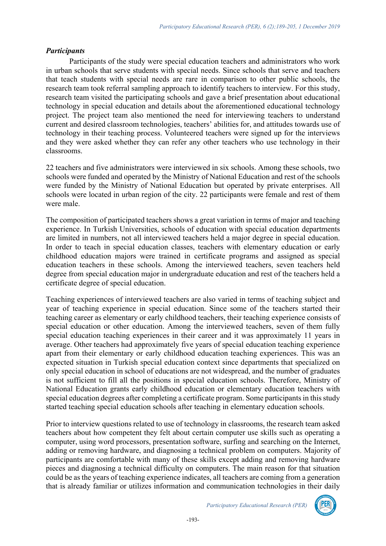#### *Participants*

Participants of the study were special education teachers and administrators who work in urban schools that serve students with special needs. Since schools that serve and teachers that teach students with special needs are rare in comparison to other public schools, the research team took referral sampling approach to identify teachers to interview. For this study, research team visited the participating schools and gave a brief presentation about educational technology in special education and details about the aforementioned educational technology project. The project team also mentioned the need for interviewing teachers to understand current and desired classroom technologies, teachers' abilities for, and attitudes towards use of technology in their teaching process. Volunteered teachers were signed up for the interviews and they were asked whether they can refer any other teachers who use technology in their classrooms.

22 teachers and five administrators were interviewed in six schools. Among these schools, two schools were funded and operated by the Ministry of National Education and rest of the schools were funded by the Ministry of National Education but operated by private enterprises. All schools were located in urban region of the city. 22 participants were female and rest of them were male.

The composition of participated teachers shows a great variation in terms of major and teaching experience. In Turkish Universities, schools of education with special education departments are limited in numbers, not all interviewed teachers held a major degree in special education. In order to teach in special education classes, teachers with elementary education or early childhood education majors were trained in certificate programs and assigned as special education teachers in these schools. Among the interviewed teachers, seven teachers held degree from special education major in undergraduate education and rest of the teachers held a certificate degree of special education.

Teaching experiences of interviewed teachers are also varied in terms of teaching subject and year of teaching experience in special education. Since some of the teachers started their teaching career as elementary or early childhood teachers, their teaching experience consists of special education or other education. Among the interviewed teachers, seven of them fully special education teaching experiences in their career and it was approximately 11 years in average. Other teachers had approximately five years of special education teaching experience apart from their elementary or early childhood education teaching experiences. This was an expected situation in Turkish special education context since departments that specialized on only special education in school of educations are not widespread, and the number of graduates is not sufficient to fill all the positions in special education schools. Therefore, Ministry of National Education grants early childhood education or elementary education teachers with special education degrees after completing a certificate program. Some participants in this study started teaching special education schools after teaching in elementary education schools.

Prior to interview questions related to use of technology in classrooms, the research team asked teachers about how competent they felt about certain computer use skills such as operating a computer, using word processors, presentation software, surfing and searching on the Internet, adding or removing hardware, and diagnosing a technical problem on computers. Majority of participants are comfortable with many of these skills except adding and removing hardware pieces and diagnosing a technical difficulty on computers. The main reason for that situation could be as the years of teaching experience indicates, all teachers are coming from a generation that is already familiar or utilizes information and communication technologies in their daily

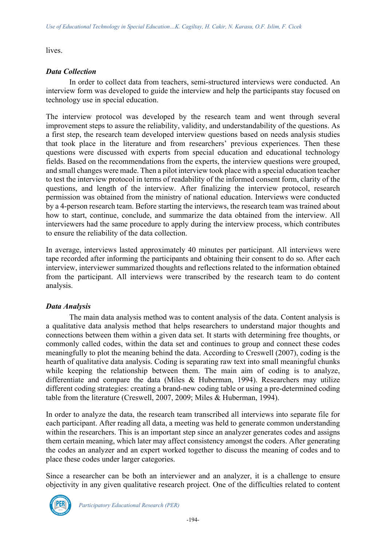lives.

## *Data Collection*

In order to collect data from teachers, semi-structured interviews were conducted. An interview form was developed to guide the interview and help the participants stay focused on technology use in special education.

The interview protocol was developed by the research team and went through several improvement steps to assure the reliability, validity, and understandability of the questions. As a first step, the research team developed interview questions based on needs analysis studies that took place in the literature and from researchers' previous experiences. Then these questions were discussed with experts from special education and educational technology fields. Based on the recommendations from the experts, the interview questions were grouped, and small changes were made. Then a pilot interview took place with a special education teacher to test the interview protocol in terms of readability of the informed consent form, clarity of the questions, and length of the interview. After finalizing the interview protocol, research permission was obtained from the ministry of national education. Interviews were conducted by a 4-person research team. Before starting the interviews, the research team was trained about how to start, continue, conclude, and summarize the data obtained from the interview. All interviewers had the same procedure to apply during the interview process, which contributes to ensure the reliability of the data collection.

In average, interviews lasted approximately 40 minutes per participant. All interviews were tape recorded after informing the participants and obtaining their consent to do so. After each interview, interviewer summarized thoughts and reflections related to the information obtained from the participant. All interviews were transcribed by the research team to do content analysis.

### *Data Analysis*

The main data analysis method was to content analysis of the data. Content analysis is a qualitative data analysis method that helps researchers to understand major thoughts and connections between them within a given data set. It starts with determining free thoughts, or commonly called codes, within the data set and continues to group and connect these codes meaningfully to plot the meaning behind the data. According to Creswell (2007), coding is the hearth of qualitative data analysis. Coding is separating raw text into small meaningful chunks while keeping the relationship between them. The main aim of coding is to analyze, differentiate and compare the data (Miles & Huberman, 1994). Researchers may utilize different coding strategies: creating a brand-new coding table or using a pre-determined coding table from the literature (Creswell, 2007, 2009; Miles & Huberman, 1994).

In order to analyze the data, the research team transcribed all interviews into separate file for each participant. After reading all data, a meeting was held to generate common understanding within the researchers. This is an important step since an analyzer generates codes and assigns them certain meaning, which later may affect consistency amongst the coders. After generating the codes an analyzer and an expert worked together to discuss the meaning of codes and to place these codes under larger categories.

Since a researcher can be both an interviewer and an analyzer, it is a challenge to ensure objectivity in any given qualitative research project. One of the difficulties related to content

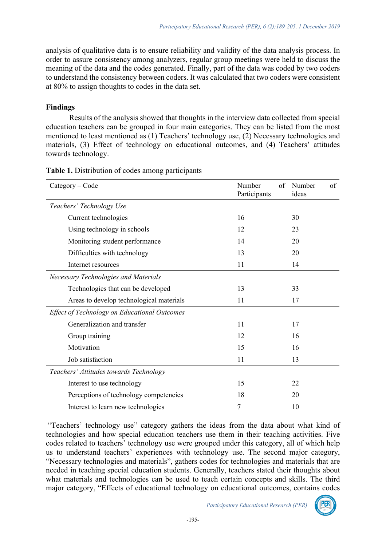analysis of qualitative data is to ensure reliability and validity of the data analysis process. In order to assure consistency among analyzers, regular group meetings were held to discuss the meaning of the data and the codes generated. Finally, part of the data was coded by two coders to understand the consistency between coders. It was calculated that two coders were consistent at 80% to assign thoughts to codes in the data set.

## **Findings**

Results of the analysis showed that thoughts in the interview data collected from special education teachers can be grouped in four main categories. They can be listed from the most mentioned to least mentioned as (1) Teachers' technology use, (2) Necessary technologies and materials, (3) Effect of technology on educational outcomes, and (4) Teachers' attitudes towards technology.

| Category – Code                                     | Number<br>Participants | of | Number<br>ideas | of |
|-----------------------------------------------------|------------------------|----|-----------------|----|
| Teachers' Technology Use                            |                        |    |                 |    |
| Current technologies                                | 16                     |    | 30              |    |
| Using technology in schools                         | 12                     |    | 23              |    |
| Monitoring student performance                      | 14                     |    | 20              |    |
| Difficulties with technology                        | 13                     |    | 20              |    |
| Internet resources                                  | 11                     |    | 14              |    |
| <b>Necessary Technologies and Materials</b>         |                        |    |                 |    |
| Technologies that can be developed                  | 13                     |    | 33              |    |
| Areas to develop technological materials            | 11                     |    | 17              |    |
| <b>Effect of Technology on Educational Outcomes</b> |                        |    |                 |    |
| Generalization and transfer                         | 11                     |    | 17              |    |
| Group training                                      | 12                     |    | 16              |    |
| Motivation                                          | 15                     |    | 16              |    |
| Job satisfaction                                    | 11                     |    | 13              |    |
| Teachers' Attitudes towards Technology              |                        |    |                 |    |
| Interest to use technology                          | 15                     |    | 22              |    |
| Perceptions of technology competencies              | 18                     |    | 20              |    |
| Interest to learn new technologies                  | 7                      |    | 10              |    |

**Table 1.** Distribution of codes among participants

"Teachers' technology use" category gathers the ideas from the data about what kind of technologies and how special education teachers use them in their teaching activities. Five codes related to teachers' technology use were grouped under this category, all of which help us to understand teachers' experiences with technology use. The second major category, "Necessary technologies and materials", gathers codes for technologies and materials that are needed in teaching special education students. Generally, teachers stated their thoughts about what materials and technologies can be used to teach certain concepts and skills. The third major category, "Effects of educational technology on educational outcomes, contains codes

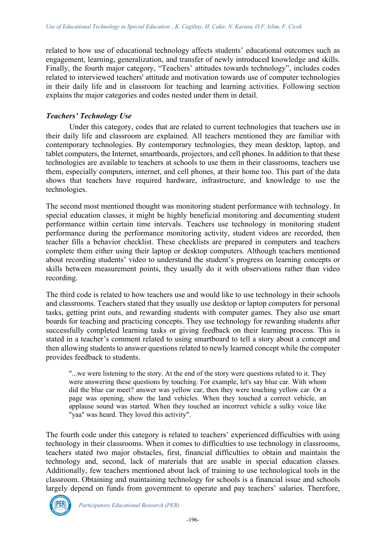related to how use of educational technology affects students' educational outcomes such as engagement, learning, generalization, and transfer of newly introduced knowledge and skills. Finally, the fourth major category, "Teachers' attitudes towards technology", includes codes related to interviewed teachers' attitude and motivation towards use of computer technologies in their daily life and in classroom for teaching and learning activities. Following section explains the major categories and codes nested under them in detail.

## *Teachers' Technology Use*

Under this category, codes that are related to current technologies that teachers use in their daily life and classroom are explained. All teachers mentioned they are familiar with contemporary technologies. By contemporary technologies, they mean desktop, laptop, and tablet computers, the Internet, smartboards, projectors, and cell phones. In addition to that these technologies are available to teachers at schools to use them in their classrooms, teachers use them, especially computers, internet, and cell phones, at their home too. This part of the data shows that teachers have required hardware, infrastructure, and knowledge to use the technologies.

The second most mentioned thought was monitoring student performance with technology. In special education classes, it might be highly beneficial monitoring and documenting student performance within certain time intervals. Teachers use technology in monitoring student performance during the performance monitoring activity, student videos are recorded, then teacher fills a behavior checklist. These checklists are prepared in computers and teachers complete them either using their laptop or desktop computers. Although teachers mentioned about recording students' video to understand the student's progress on learning concepts or skills between measurement points, they usually do it with observations rather than video recording.

The third code is related to how teachers use and would like to use technology in their schools and classrooms. Teachers stated that they usually use desktop or laptop computers for personal tasks, getting print outs, and rewarding students with computer games. They also use smart boards for teaching and practicing concepts. They use technology for rewarding students after successfully completed learning tasks or giving feedback on their learning process. This is stated in a teacher's comment related to using smartboard to tell a story about a concept and then allowing students to answer questions related to newly learned concept while the computer provides feedback to students.

"...we were listening to the story. At the end of the story were questions related to it. They were answering these questions by touching. For example, let's say blue car. With whom did the blue car meet? answer was yellow car, then they were touching yellow car. Or a page was opening, show the land vehicles. When they touched a correct vehicle, an applause sound was started. When they touched an incorrect vehicle a sulky voice like "yaa" was heard. They loved this activity".

The fourth code under this category is related to teachers' experienced difficulties with using technology in their classrooms. When it comes to difficulties to use technology in classrooms, teachers stated two major obstacles, first, financial difficulties to obtain and maintain the technology and, second, lack of materials that are usable in special education classes. Additionally, few teachers mentioned about lack of training to use technological tools in the classroom. Obtaining and maintaining technology for schools is a financial issue and schools largely depend on funds from government to operate and pay teachers' salaries. Therefore,

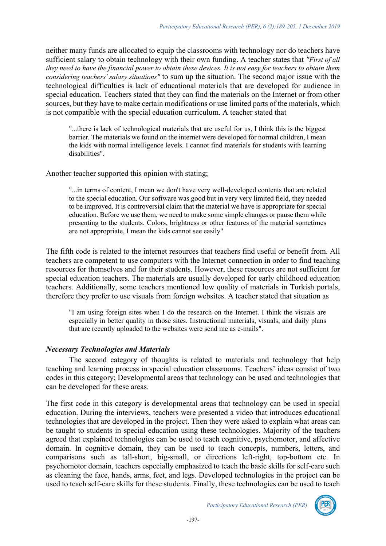neither many funds are allocated to equip the classrooms with technology nor do teachers have sufficient salary to obtain technology with their own funding. A teacher states that *"First of all they need to have the financial power to obtain these devices. It is not easy for teachers to obtain them considering teachers' salary situations"* to sum up the situation. The second major issue with the technological difficulties is lack of educational materials that are developed for audience in special education. Teachers stated that they can find the materials on the Internet or from other sources, but they have to make certain modifications or use limited parts of the materials, which is not compatible with the special education curriculum. A teacher stated that

"...there is lack of technological materials that are useful for us, I think this is the biggest barrier. The materials we found on the internet were developed for normal children, I mean the kids with normal intelligence levels. I cannot find materials for students with learning disabilities".

Another teacher supported this opinion with stating;

"...in terms of content, I mean we don't have very well-developed contents that are related to the special education. Our software was good but in very very limited field, they needed to be improved. It is controversial claim that the material we have is appropriate for special education. Before we use them, we need to make some simple changes or pause them while presenting to the students. Colors, brightness or other features of the material sometimes are not appropriate, I mean the kids cannot see easily"

The fifth code is related to the internet resources that teachers find useful or benefit from. All teachers are competent to use computers with the Internet connection in order to find teaching resources for themselves and for their students. However, these resources are not sufficient for special education teachers. The materials are usually developed for early childhood education teachers. Additionally, some teachers mentioned low quality of materials in Turkish portals, therefore they prefer to use visuals from foreign websites. A teacher stated that situation as

"I am using foreign sites when I do the research on the Internet. I think the visuals are especially in better quality in those sites. Instructional materials, visuals, and daily plans that are recently uploaded to the websites were send me as e-mails".

#### *Necessary Technologies and Materials*

The second category of thoughts is related to materials and technology that help teaching and learning process in special education classrooms. Teachers' ideas consist of two codes in this category; Developmental areas that technology can be used and technologies that can be developed for these areas.

The first code in this category is developmental areas that technology can be used in special education. During the interviews, teachers were presented a video that introduces educational technologies that are developed in the project. Then they were asked to explain what areas can be taught to students in special education using these technologies. Majority of the teachers agreed that explained technologies can be used to teach cognitive, psychomotor, and affective domain. In cognitive domain, they can be used to teach concepts, numbers, letters, and comparisons such as tall-short, big-small, or directions left-right, top-bottom etc. In psychomotor domain, teachers especially emphasized to teach the basic skills for self-care such as cleaning the face, hands, arms, feet, and legs. Developed technologies in the project can be used to teach self-care skills for these students. Finally, these technologies can be used to teach

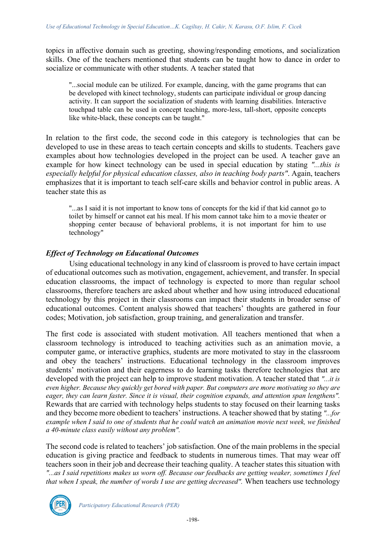topics in affective domain such as greeting, showing/responding emotions, and socialization skills. One of the teachers mentioned that students can be taught how to dance in order to socialize or communicate with other students. A teacher stated that

"...social module can be utilized. For example, dancing, with the game programs that can be developed with kinect technology, students can participate individual or group dancing activity. It can support the socialization of students with learning disabilities. Interactive touchpad table can be used in concept teaching, more-less, tall-short, opposite concepts like white-black, these concepts can be taught."

In relation to the first code, the second code in this category is technologies that can be developed to use in these areas to teach certain concepts and skills to students. Teachers gave examples about how technologies developed in the project can be used. A teacher gave an example for how kinect technology can be used in special education by stating *"...this is especially helpful for physical education classes, also in teaching body parts"*. Again, teachers emphasizes that it is important to teach self-care skills and behavior control in public areas. A teacher state this as

"...as I said it is not important to know tons of concepts for the kid if that kid cannot go to toilet by himself or cannot eat his meal. If his mom cannot take him to a movie theater or shopping center because of behavioral problems, it is not important for him to use technology"

### *Effect of Technology on Educational Outcomes*

Using educational technology in any kind of classroom is proved to have certain impact of educational outcomes such as motivation, engagement, achievement, and transfer. In special education classrooms, the impact of technology is expected to more than regular school classrooms, therefore teachers are asked about whether and how using introduced educational technology by this project in their classrooms can impact their students in broader sense of educational outcomes. Content analysis showed that teachers' thoughts are gathered in four codes; Motivation, job satisfaction, group training, and generalization and transfer.

The first code is associated with student motivation. All teachers mentioned that when a classroom technology is introduced to teaching activities such as an animation movie, a computer game, or interactive graphics, students are more motivated to stay in the classroom and obey the teachers' instructions. Educational technology in the classroom improves students' motivation and their eagerness to do learning tasks therefore technologies that are developed with the project can help to improve student motivation. A teacher stated that *"...it is even higher. Because they quickly get bored with paper. But computers are more motivating so they are eager, they can learn faster. Since it is visual, their cognition expands, and attention span lengthens".* Rewards that are carried with technology helps students to stay focused on their learning tasks and they become more obedient to teachers' instructions. A teacher showed that by stating *"...for example when I said to one of students that he could watch an animation movie next week, we finished a 40-minute class easily without any problem".*

The second code is related to teachers' job satisfaction. One of the main problems in the special education is giving practice and feedback to students in numerous times. That may wear off teachers soon in their job and decrease their teaching quality. A teacher states this situation with *"...as I said repetitions makes us worn off. Because our feedbacks are getting weaker, sometimes I feel that when I speak, the number of words I use are getting decreased".* When teachers use technology

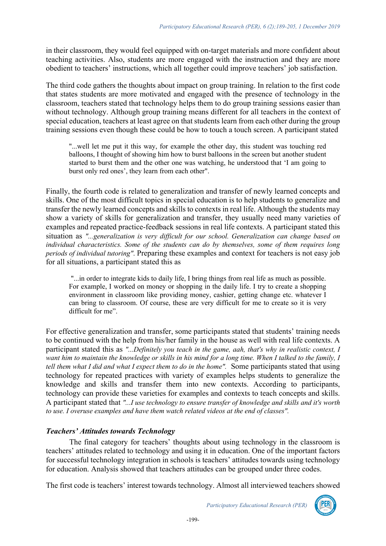in their classroom, they would feel equipped with on-target materials and more confident about teaching activities. Also, students are more engaged with the instruction and they are more obedient to teachers' instructions, which all together could improve teachers' job satisfaction.

The third code gathers the thoughts about impact on group training. In relation to the first code that states students are more motivated and engaged with the presence of technology in the classroom, teachers stated that technology helps them to do group training sessions easier than without technology. Although group training means different for all teachers in the context of special education, teachers at least agree on that students learn from each other during the group training sessions even though these could be how to touch a touch screen. A participant stated

"...well let me put it this way, for example the other day, this student was touching red balloons, I thought of showing him how to burst balloons in the screen but another student started to burst them and the other one was watching, he understood that 'I am going to burst only red ones', they learn from each other".

Finally, the fourth code is related to generalization and transfer of newly learned concepts and skills. One of the most difficult topics in special education is to help students to generalize and transfer the newly learned concepts and skills to contexts in real life. Although the students may show a variety of skills for generalization and transfer, they usually need many varieties of examples and repeated practice-feedback sessions in real life contexts. A participant stated this situation as *"...generalization is very difficult for our school. Generalization can change based on individual characteristics. Some of the students can do by themselves, some of them requires long periods of individual tutoring"*. Preparing these examples and context for teachers is not easy job for all situations, a participant stated this as

"...in order to integrate kids to daily life, I bring things from real life as much as possible. For example, I worked on money or shopping in the daily life. I try to create a shopping environment in classroom like providing money, cashier, getting change etc. whatever I can bring to classroom. Of course, these are very difficult for me to create so it is very difficult for me".

For effective generalization and transfer, some participants stated that students' training needs to be continued with the help from his/her family in the house as well with real life contexts. A participant stated this as *"...Definitely you teach in the game, aah, that's why in realistic context, I want him to maintain the knowledge or skills in his mind for a long time. When I talked to the family, I tell them what I did and what I expect them to do in the home".* Some participants stated that using technology for repeated practices with variety of examples helps students to generalize the knowledge and skills and transfer them into new contexts. According to participants, technology can provide these varieties for examples and contexts to teach concepts and skills. A participant stated that *"...I use technology to ensure transfer of knowledge and skills and it's worth to use. I overuse examples and have them watch related videos at the end of classes".*

### *Teachers' Attitudes towards Technology*

The final category for teachers' thoughts about using technology in the classroom is teachers' attitudes related to technology and using it in education. One of the important factors for successful technology integration in schools is teachers' attitudes towards using technology for education. Analysis showed that teachers attitudes can be grouped under three codes.

The first code is teachers' interest towards technology. Almost all interviewed teachers showed

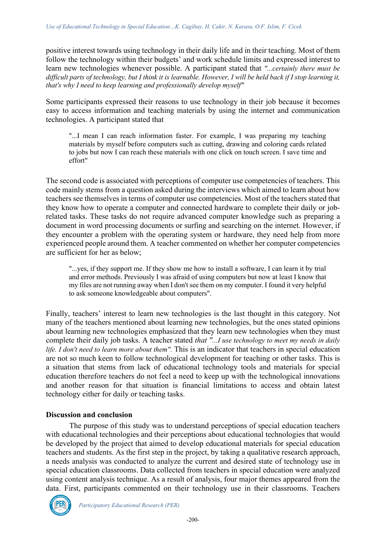positive interest towards using technology in their daily life and in their teaching. Most of them follow the technology within their budgets' and work schedule limits and expressed interest to learn new technologies whenever possible. A participant stated that *"...certainly there must be difficult parts of technology, but I think it is learnable. However, I will be held back if I stop learning it, that's why I need to keep learning and professionally develop myself"*

Some participants expressed their reasons to use technology in their job because it becomes easy to access information and teaching materials by using the internet and communication technologies. A participant stated that

"...I mean I can reach information faster. For example, I was preparing my teaching materials by myself before computers such as cutting, drawing and coloring cards related to jobs but now I can reach these materials with one click on touch screen. I save time and effort"

The second code is associated with perceptions of computer use competencies of teachers. This code mainly stems from a question asked during the interviews which aimed to learn about how teachers see themselves in terms of computer use competencies. Most of the teachers stated that they know how to operate a computer and connected hardware to complete their daily or jobrelated tasks. These tasks do not require advanced computer knowledge such as preparing a document in word processing documents or surfing and searching on the internet. However, if they encounter a problem with the operating system or hardware, they need help from more experienced people around them. A teacher commented on whether her computer competencies are sufficient for her as below;

"...yes, if they support me. If they show me how to install a software, I can learn it by trial and error methods. Previously I was afraid of using computers but now at least I know that my files are not running away when I don't see them on my computer. I found it very helpful to ask someone knowledgeable about computers".

Finally, teachers' interest to learn new technologies is the last thought in this category. Not many of the teachers mentioned about learning new technologies, but the ones stated opinions about learning new technologies emphasized that they learn new technologies when they must complete their daily job tasks. A teacher stated *that "...I use technology to meet my needs in daily life. I don't need to learn more about them".* This is an indicator that teachers in special education are not so much keen to follow technological development for teaching or other tasks. This is a situation that stems from lack of educational technology tools and materials for special education therefore teachers do not feel a need to keep up with the technological innovations and another reason for that situation is financial limitations to access and obtain latest technology either for daily or teaching tasks.

#### **Discussion and conclusion**

The purpose of this study was to understand perceptions of special education teachers with educational technologies and their perceptions about educational technologies that would be developed by the project that aimed to develop educational materials for special education teachers and students. As the first step in the project, by taking a qualitative research approach, a needs analysis was conducted to analyze the current and desired state of technology use in special education classrooms. Data collected from teachers in special education were analyzed using content analysis technique. As a result of analysis, four major themes appeared from the data. First, participants commented on their technology use in their classrooms. Teachers

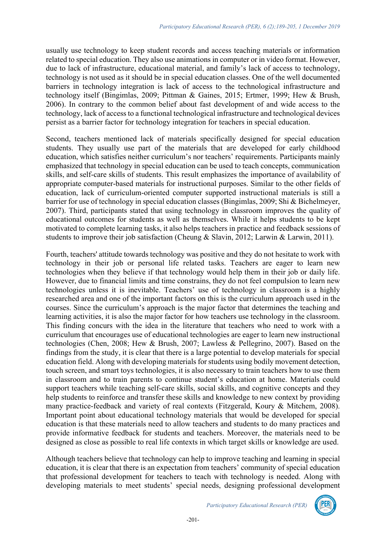usually use technology to keep student records and access teaching materials or information related to special education. They also use animations in computer or in video format. However, due to lack of infrastructure, educational material, and family's lack of access to technology, technology is not used as it should be in special education classes. One of the well documented barriers in technology integration is lack of access to the technological infrastructure and technology itself (Bingimlas, 2009; Pittman & Gaines, 2015; Ertmer, 1999; Hew & Brush, 2006). In contrary to the common belief about fast development of and wide access to the technology, lack of access to a functional technological infrastructure and technological devices persist as a barrier factor for technology integration for teachers in special education.

Second, teachers mentioned lack of materials specifically designed for special education students. They usually use part of the materials that are developed for early childhood education, which satisfies neither curriculum's nor teachers' requirements. Participants mainly emphasized that technology in special education can be used to teach concepts, communication skills, and self-care skills of students. This result emphasizes the importance of availability of appropriate computer-based materials for instructional purposes. Similar to the other fields of education, lack of curriculum-oriented computer supported instructional materials is still a barrier for use of technology in special education classes (Bingimlas, 2009; Shi & Bichelmeyer, 2007). Third, participants stated that using technology in classroom improves the quality of educational outcomes for students as well as themselves. While it helps students to be kept motivated to complete learning tasks, it also helps teachers in practice and feedback sessions of students to improve their job satisfaction (Cheung & Slavin, 2012; Larwin & Larwin, 2011).

Fourth, teachers' attitude towards technology was positive and they do not hesitate to work with technology in their job or personal life related tasks. Teachers are eager to learn new technologies when they believe if that technology would help them in their job or daily life. However, due to financial limits and time constrains, they do not feel compulsion to learn new technologies unless it is inevitable. Teachers' use of technology in classroom is a highly researched area and one of the important factors on this is the curriculum approach used in the courses. Since the curriculum's approach is the major factor that determines the teaching and learning activities, it is also the major factor for how teachers use technology in the classroom. This finding concurs with the idea in the literature that teachers who need to work with a curriculum that encourages use of educational technologies are eager to learn new instructional technologies (Chen, 2008; Hew & Brush, 2007; Lawless & Pellegrino, 2007). Based on the findings from the study, it is clear that there is a large potential to develop materials for special education field. Along with developing materials for students using bodily movement detection, touch screen, and smart toys technologies, it is also necessary to train teachers how to use them in classroom and to train parents to continue student's education at home. Materials could support teachers while teaching self-care skills, social skills, and cognitive concepts and they help students to reinforce and transfer these skills and knowledge to new context by providing many practice-feedback and variety of real contexts (Fitzgerald, Koury & Mitchem, 2008). Important point about educational technology materials that would be developed for special education is that these materials need to allow teachers and students to do many practices and provide informative feedback for students and teachers. Moreover, the materials need to be designed as close as possible to real life contexts in which target skills or knowledge are used.

Although teachers believe that technology can help to improve teaching and learning in special education, it is clear that there is an expectation from teachers' community of special education that professional development for teachers to teach with technology is needed. Along with developing materials to meet students' special needs, designing professional development

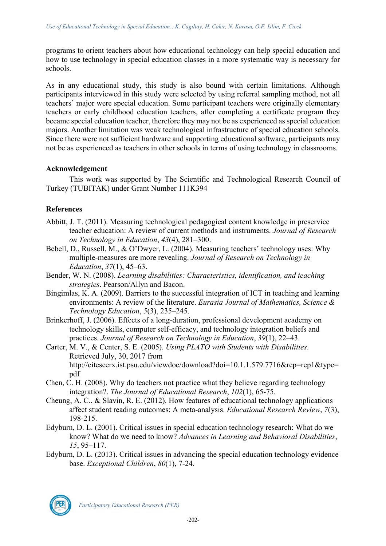programs to orient teachers about how educational technology can help special education and how to use technology in special education classes in a more systematic way is necessary for schools.

As in any educational study, this study is also bound with certain limitations. Although participants interviewed in this study were selected by using referral sampling method, not all teachers' major were special education. Some participant teachers were originally elementary teachers or early childhood education teachers, after completing a certificate program they became special education teacher, therefore they may not be as experienced as special education majors. Another limitation was weak technological infrastructure of special education schools. Since there were not sufficient hardware and supporting educational software, participants may not be as experienced as teachers in other schools in terms of using technology in classrooms.

## **Acknowledgement**

This work was supported by The Scientific and Technological Research Council of Turkey (TUBITAK) under Grant Number 111K394

## **References**

- Abbitt, J. T. (2011). Measuring technological pedagogical content knowledge in preservice teacher education: A review of current methods and instruments. *Journal of Research on Technology in Education*, *43*(4), 281–300.
- Bebell, D., Russell, M., & O'Dwyer, L. (2004). Measuring teachers' technology uses: Why multiple-measures are more revealing. *Journal of Research on Technology in Education*, *37*(1), 45–63.
- Bender, W. N. (2008). *Learning disabilities: Characteristics, identification, and teaching strategies*. Pearson/Allyn and Bacon.
- Bingimlas, K. A. (2009). Barriers to the successful integration of ICT in teaching and learning environments: A review of the literature. *Eurasia Journal of Mathematics, Science & Technology Education*, *5*(3), 235–245.
- Brinkerhoff, J. (2006). Effects of a long-duration, professional development academy on technology skills, computer self-efficacy, and technology integration beliefs and practices. *Journal of Research on Technology in Education*, *39*(1), 22–43.
- Carter, M. V., & Center, S. E. (2005). *Using PLATO with Students with Disabilities*. Retrieved July, 30, 2017 from http://citeseerx.ist.psu.edu/viewdoc/download?doi=10.1.1.579.7716&rep=rep1&type= pdf
- Chen, C. H. (2008). Why do teachers not practice what they believe regarding technology integration?. *The Journal of Educational Research*, *102*(1), 65-75.
- Cheung, A. C., & Slavin, R. E. (2012). How features of educational technology applications affect student reading outcomes: A meta-analysis. *Educational Research Review*, *7*(3), 198-215.
- Edyburn, D. L. (2001). Critical issues in special education technology research: What do we know? What do we need to know? *Advances in Learning and Behavioral Disabilities*, *15*, 95–117.
- Edyburn, D. L. (2013). Critical issues in advancing the special education technology evidence base. *Exceptional Children*, *80*(1), 7-24.

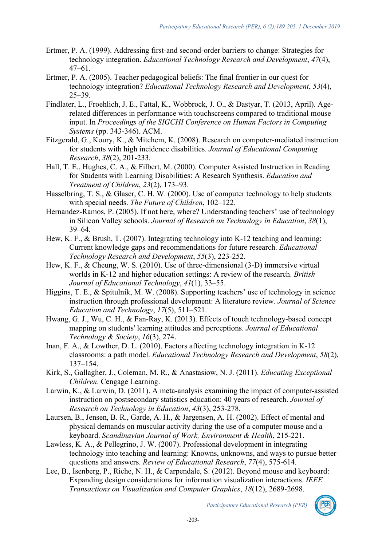- Ertmer, P. A. (1999). Addressing first-and second-order barriers to change: Strategies for technology integration. *Educational Technology Research and Development*, *47*(4), 47–61.
- Ertmer, P. A. (2005). Teacher pedagogical beliefs: The final frontier in our quest for technology integration? *Educational Technology Research and Development*, *53*(4), 25–39.
- Findlater, L., Froehlich, J. E., Fattal, K., Wobbrock, J. O., & Dastyar, T. (2013, April). Agerelated differences in performance with touchscreens compared to traditional mouse input. In *Proceedings of the SIGCHI Conference on Human Factors in Computing Systems* (pp. 343-346). ACM.
- Fitzgerald, G., Koury, K., & Mitchem, K. (2008). Research on computer-mediated instruction for students with high incidence disabilities. *Journal of Educational Computing Research*, *38*(2), 201-233.
- Hall, T. E., Hughes, C. A., & Filbert, M. (2000). Computer Assisted Instruction in Reading for Students with Learning Disabilities: A Research Synthesis. *Education and Treatment of Children*, *23*(2), 173–93.
- Hasselbring, T. S., & Glaser, C. H. W. (2000). Use of computer technology to help students with special needs. *The Future of Children*, 102–122.
- Hernandez-Ramos, P. (2005). If not here, where? Understanding teachers' use of technology in Silicon Valley schools. *Journal of Research on Technology in Education*, *38*(1), 39–64.
- Hew, K. F., & Brush, T. (2007). Integrating technology into K-12 teaching and learning: Current knowledge gaps and recommendations for future research. *Educational Technology Research and Development*, *55*(3), 223-252.
- Hew, K. F., & Cheung, W. S. (2010). Use of three-dimensional (3-D) immersive virtual worlds in K‐12 and higher education settings: A review of the research. *British Journal of Educational Technology*, *41*(1), 33–55.
- Higgins, T. E., & Spitulnik, M. W. (2008). Supporting teachers' use of technology in science instruction through professional development: A literature review. *Journal of Science Education and Technology*, *17*(5), 511–521.
- Hwang, G. J., Wu, C. H., & Fan-Ray, K. (2013). Effects of touch technology-based concept mapping on students' learning attitudes and perceptions. *Journal of Educational Technology & Society*, *16*(3), 274.
- Inan, F. A., & Lowther, D. L. (2010). Factors affecting technology integration in K-12 classrooms: a path model. *Educational Technology Research and Development*, *58*(2), 137–154.
- Kirk, S., Gallagher, J., Coleman, M. R., & Anastasiow, N. J. (2011). *Educating Exceptional Children*. Cengage Learning.
- Larwin, K., & Larwin, D. (2011). A meta-analysis examining the impact of computer-assisted instruction on postsecondary statistics education: 40 years of research. *Journal of Research on Technology in Education*, *43*(3), 253-278.
- Laursen, B., Jensen, B. R., Garde, A. H., & Jargensen, A. H. (2002). Effect of mental and physical demands on muscular activity during the use of a computer mouse and a keyboard. *Scandinavian Journal of Work, Environment & Health*, 215-221.
- Lawless, K. A., & Pellegrino, J. W. (2007). Professional development in integrating technology into teaching and learning: Knowns, unknowns, and ways to pursue better questions and answers. *Review of Educational Research*, *77*(4), 575-614.
- Lee, B., Isenberg, P., Riche, N. H., & Carpendale, S. (2012). Beyond mouse and keyboard: Expanding design considerations for information visualization interactions. *IEEE Transactions on Visualization and Computer Graphics*, *18*(12), 2689-2698.

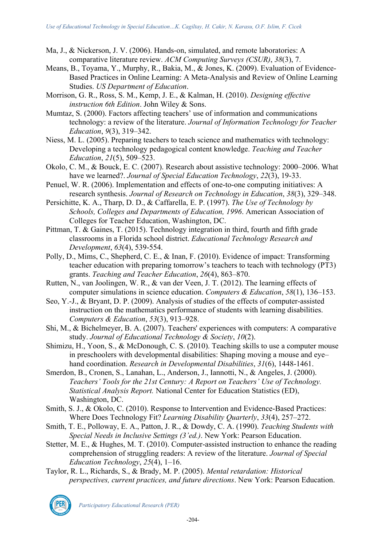- Ma, J., & Nickerson, J. V. (2006). Hands-on, simulated, and remote laboratories: A comparative literature review. *ACM Computing Surveys (CSUR)*, *38*(3), 7.
- Means, B., Toyama, Y., Murphy, R., Bakia, M., & Jones, K. (2009). Evaluation of Evidence-Based Practices in Online Learning: A Meta-Analysis and Review of Online Learning Studies. *US Department of Education*.
- Morrison, G. R., Ross, S. M., Kemp, J. E., & Kalman, H. (2010). *Designing effective instruction 6th Edition*. John Wiley & Sons.
- Mumtaz, S. (2000). Factors affecting teachers' use of information and communications technology: a review of the literature. *Journal of Information Technology for Teacher Education*, *9*(3), 319–342.
- Niess, M. L. (2005). Preparing teachers to teach science and mathematics with technology: Developing a technology pedagogical content knowledge. *Teaching and Teacher Education*, *21*(5), 509–523.
- Okolo, C. M., & Bouck, E. C. (2007). Research about assistive technology: 2000–2006. What have we learned?. *Journal of Special Education Technology*, *22*(3), 19-33.
- Penuel, W. R. (2006). Implementation and effects of one-to-one computing initiatives: A research synthesis. *Journal of Research on Technology in Education*, *38*(3), 329–348.
- Persichitte, K. A., Tharp, D. D., & Caffarella, E. P. (1997). *The Use of Technology by Schools, Colleges and Departments of Education, 1996*. American Association of Colleges for Teacher Education, Washington, DC.
- Pittman, T. & Gaines, T. (2015). Technology integration in third, fourth and fifth grade classrooms in a Florida school district. *Educational Technology Research and Development*, *63*(4), 539-554.
- Polly, D., Mims, C., Shepherd, C. E., & Inan, F. (2010). Evidence of impact: Transforming teacher education with preparing tomorrow's teachers to teach with technology (PT3) grants. *Teaching and Teacher Education*, *26*(4), 863–870.
- Rutten, N., van Joolingen, W. R., & van der Veen, J. T. (2012). The learning effects of computer simulations in science education. *Computers & Education*, *58*(1), 136–153.
- Seo, Y.-J., & Bryant, D. P. (2009). Analysis of studies of the effects of computer-assisted instruction on the mathematics performance of students with learning disabilities. *Computers & Education*, *53*(3), 913–928.
- Shi, M., & Bichelmeyer, B. A. (2007). Teachers' experiences with computers: A comparative study. *Journal of Educational Technology & Society*, *10*(2).
- Shimizu, H., Yoon, S., & McDonough, C. S. (2010). Teaching skills to use a computer mouse in preschoolers with developmental disabilities: Shaping moving a mouse and eye– hand coordination. *Research in Developmental Disabilities*, *31*(6), 1448-1461.
- Smerdon, B., Cronen, S., Lanahan, L., Anderson, J., Iannotti, N., & Angeles, J. (2000). *Teachers' Tools for the 21st Century: A Report on Teachers' Use of Technology. Statistical Analysis Report.* National Center for Education Statistics (ED), Washington, DC.
- Smith, S. J., & Okolo, C. (2010). Response to Intervention and Evidence-Based Practices: Where Does Technology Fit? *Learning Disability Quarterly*, *33*(4), 257–272.
- Smith, T. E., Polloway, E. A., Patton, J. R., & Dowdy, C. A. (1990). *Teaching Students with Special Needs in Inclusive Settings (3'ed.)*. New York: Pearson Education.
- Stetter, M. E., & Hughes, M. T. (2010). Computer-assisted instruction to enhance the reading comprehension of struggling readers: A review of the literature. *Journal of Special Education Technology*, *25*(4), 1–16.
- Taylor, R. L., Richards, S., & Brady, M. P. (2005). *Mental retardation: Historical perspectives, current practices, and future directions*. New York: Pearson Education.